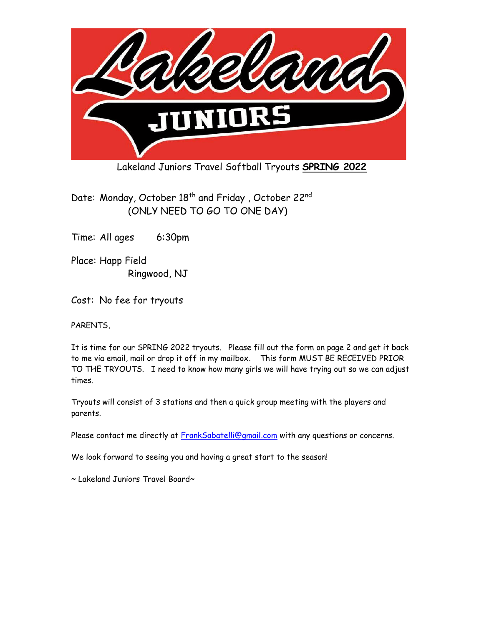

Lakeland Juniors Travel Softball Tryouts **SPRING 2022**

Date: Monday, October 18<sup>th</sup> and Friday, October 22<sup>nd</sup> (ONLY NEED TO GO TO ONE DAY)

Time: All ages 6:30pm

Place: Happ Field Ringwood, NJ

Cost: No fee for tryouts

PARENTS,

It is time for our SPRING 2022 tryouts. Please fill out the form on page 2 and get it back to me via email, mail or drop it off in my mailbox. This form MUST BE RECEIVED PRIOR TO THE TRYOUTS. I need to know how many girls we will have trying out so we can adjust times.

Tryouts will consist of 3 stations and then a quick group meeting with the players and parents.

Please contact me directly at **FrankSabatelli@gmail.com** with any questions or concerns.

We look forward to seeing you and having a great start to the season!

~ Lakeland Juniors Travel Board~